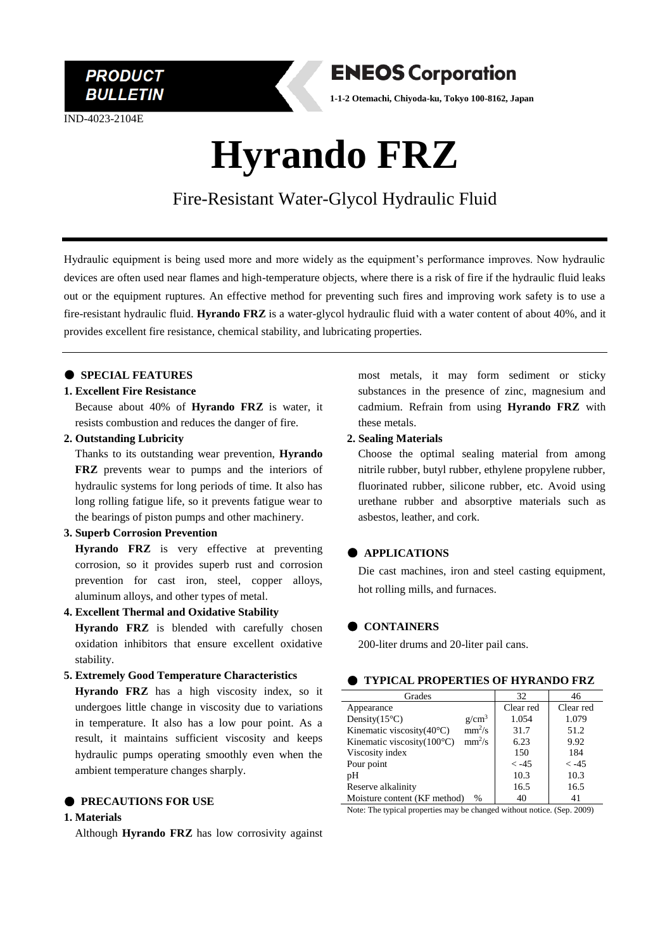

IND-4023-2104E



**1-1-2 Otemachi, Chiyoda-ku, Tokyo 100-8162, Japan**

# **Hyrando FRZ**

Fire-Resistant Water-Glycol Hydraulic Fluid

Hydraulic equipment is being used more and more widely as the equipment's performance improves. Now hydraulic devices are often used near flames and high-temperature objects, where there is a risk of fire if the hydraulic fluid leaks out or the equipment ruptures. An effective method for preventing such fires and improving work safety is to use a fire-resistant hydraulic fluid. **Hyrando FRZ** is a water-glycol hydraulic fluid with a water content of about 40%, and it provides excellent fire resistance, chemical stability, and lubricating properties.

# ● **SPECIAL FEATURES**

#### **1. Excellent Fire Resistance**

Because about 40% of **Hyrando FRZ** is water, it resists combustion and reduces the danger of fire.

# **2. Outstanding Lubricity**

Thanks to its outstanding wear prevention, **Hyrando FRZ** prevents wear to pumps and the interiors of hydraulic systems for long periods of time. It also has long rolling fatigue life, so it prevents fatigue wear to the bearings of piston pumps and other machinery.

#### **3. Superb Corrosion Prevention**

**Hyrando FRZ** is very effective at preventing corrosion, so it provides superb rust and corrosion prevention for cast iron, steel, copper alloys, aluminum alloys, and other types of metal.

# **4. Excellent Thermal and Oxidative Stability**

**Hyrando FRZ** is blended with carefully chosen oxidation inhibitors that ensure excellent oxidative stability.

#### **5. Extremely Good Temperature Characteristics**

**Hyrando FRZ** has a high viscosity index, so it undergoes little change in viscosity due to variations in temperature. It also has a low pour point. As a result, it maintains sufficient viscosity and keeps hydraulic pumps operating smoothly even when the ambient temperature changes sharply.

# $\bullet$  **PRECAUTIONS FOR USE**

#### **1. Materials**

Although **Hyrando FRZ** has low corrosivity against

most metals, it may form sediment or sticky substances in the presence of zinc, magnesium and cadmium. Refrain from using **Hyrando FRZ** with these metals.

#### **2. Sealing Materials**

Choose the optimal sealing material from among nitrile rubber, butyl rubber, ethylene propylene rubber, fluorinated rubber, silicone rubber, etc. Avoid using urethane rubber and absorptive materials such as asbestos, leather, and cork.

# ● **APPLICATIONS**

Die cast machines, iron and steel casting equipment, hot rolling mills, and furnaces.

# ● **CONTAINERS**

200-liter drums and 20-liter pail cans.

#### ● **TYPICAL PROPERTIES OF HYRANDO FRZ**

| Grades                                           | 32        | 46        |
|--------------------------------------------------|-----------|-----------|
| Appearance                                       | Clear red | Clear red |
| Density $(15^{\circ}C)$<br>$g/cm^3$              | 1.054     | 1.079     |
| $mm^2/s$<br>Kinematic viscosity $(40^{\circ}C)$  | 31.7      | 51.2      |
| $mm^2/s$<br>Kinematic viscosity $(100^{\circ}C)$ | 6.23      | 9.92      |
| Viscosity index                                  | 150       | 184       |
| Pour point                                       | $\lt -45$ | $< -4.5$  |
| pH                                               | 10.3      | 10.3      |
| Reserve alkalinity                               | 16.5      | 16.5      |
| Moisture content (KF method)<br>$\frac{0}{0}$    | 40        | 41        |

Note: The typical properties may be changed without notice. (Sep. 2009)